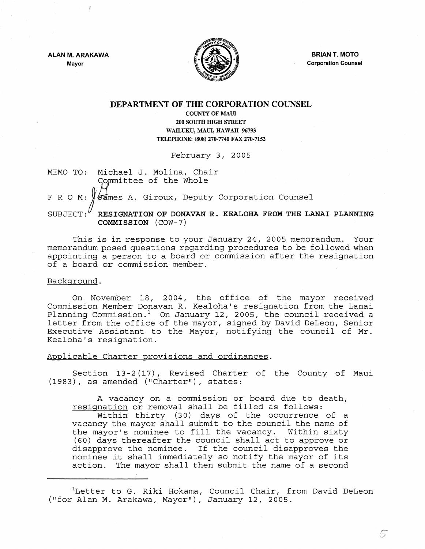ALAN M. ARAKAWA Mayor

j.



**BRIAN T. MOTO** Corporation Counsel

 $5\overline{5}$ 

## DEPARTMENT OF THE CORPORATION COUNSEL

COUNTY OF MAUl 200 SOUTH HIGH STREET WAILUKU, MAUL, HAWAII 96793 TELEPHONE: (808) 270-7740 FAX 270-7152

February 3, 2005

MEMO TO: Michael J. Molina, Chair

Committee of the Whole

F R O M:  $\sqrt{5}$  mes A. Giroux, Deputy Corporation Counsel

SUBJECT:  $\sqrt{\ }$  RESIGNATION OF DONAVAN R. KEALOHA FROM THE LANAI PLANNING COMMISSION (COW-7)

This is in response to your January 24, 2005 memorandum. Your memorandum posed questions regarding procedures to be followed when appointing a person to a board or commission after the resignation of a board or commission member.

Background.

On November 18, 2004, the office of the mayor received Commission Member Donavan R. Kealoha's resignation from the Lanai Planning Commission.<sup>1</sup> On January 12, 2005, the council received a letter from the office of the mayor, signed by David DeLeon, Senior Executive Assistant to the Mayor, notifying the council of Mr. Kealoha's resignation.

Applicable Charter provisions and ordinances.

Section 13-2(17), Revised Charter of the County of Maui (1983), as amended ("Charter"), states:

A vacancy on a commission or board due to death, resignation or removal shall be filled as follows:

Within thirty (30) days of the occurrence of a vacancy the mayor shall submit to the council the name of the mayor's nominee to fill the vacancy. Within sixty (60) days thereafter the council shall act to approve or disapprove the nominee. If the council disapproves the nominee it shall immediately so notify the mayor of its action. The mayor shall then submit the name of a second

 $1$ Letter to G. Riki Hokama, Council Chair, from David DeLeon ("for Alan M. Arakawa, Mayor"), January 12, 2005.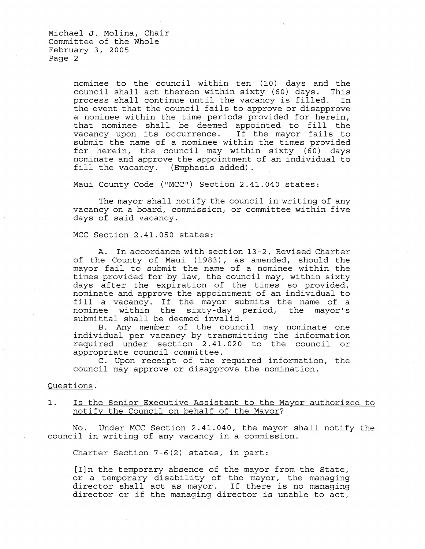> nominee to the council within ten (10) days and the council shall act thereon within sixty (60) days. This process shall continue until the vacancy is filled. the event that the council fails to approve or disapprove a nominee within the time periods provided for herein, that nominee shall be deemed appointed to fill the vacancy upon its occurrence. If the mayor fails to submit the name of a nominee within the times provided for herein, the council may within sixty (60) days nominate and approve the appointment of an individual to fill the vacancy. (Emphasis added) .

Maui County Code ("MCC") Section 2.41.040 states:

The mayor shall notify the council in writing of any vacancy on a board, commission, or committee within five days of said vacancy.

MCC Section 2.41.050 states:

A. In accordance with section 13 -2, Revised Charter of the County of Maui (1983), as amended, should the mayor fail to submit the name of a nominee within the times provided for by law, the council may, within sixty days after the expiration of the times so provided, nominate and approve the appointment of an individual to fill a vacancy. If the mayor submits the name of a<br>nominee within the sixty-day period, the mayor's nominee within the sixty-day period, submittal shall be deemed invalid.

B. Any member of the council may nominate one individual per vacancy by transmitting the information required under section 2.41.020 to the council or appropriate council committee.

C. Upon receipt of the required information, the council may approve or disapprove the nomination.

## Questions.

1. Is the Senior Executive Assistant to the Mayor authorized to notify the Council on behalf of the Mayor?

No. Under MCC Section 2.41.040, the mayor shall notify the council in writing of any vacancy in a commission.

Charter Section 7-6(2) states, in part:

[I]n the temporary absence of the mayor from the State, or a temporary disability of the mayor, the managing director shall act as mayor. If there is no managing director or if the managing director is unable to act,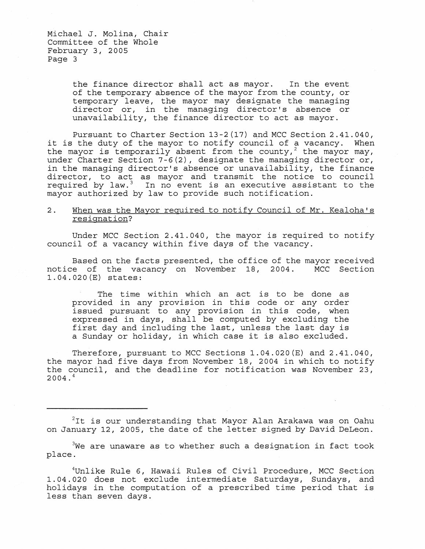> the finance director shall act as mayor. In the event of the temporary absence of the mayor from the county, or temporary leave, the mayor may designate the managing director or, in the managing director's absence or unavailability, the finance director to act as mayor.

Pursuant to Charter Section 13 -2 (17) and MCC Section 2.41.040, it is the duty of the mayor to notify council of a vacancy. When the mayor is temporarily absent from the county,<sup>2</sup> the mayor may, under Charter Section 7-6(2), designate the managing director or, in the managing director's absence or unavailability; the finance director, to act as mayor and transmit the notice to council required by law. $3$  In no event is an executive assistant to the mayor authorized by law to provide such notification.

# 2. When was the Mayor required to notify Council of Mr. Kealoha's resignation?

Under MCC Section 2.41.040, the mayor is required to notify council of a vacancy within five days of the vacancy.

Based on the facts presented, the office of the mayor received notice of the vacancy on November 18, 2004. MCC Section 1.04.020(E) states:

The time within which an act is to be done as provided in any provision in this code or any order issued pursuant to any provision in this code, when expressed in days, shall be computed by excluding the first day and including the last, unless the last day is a Sunday or holiday, in which case it is also excluded.

Therefore, pursuant to MCC Sections 1.04.020(E) and 2.41.040, the mayor had five days from November 18, 2004 in which to notify the council, and the deadline for notification was November 23,  $2004.$ <sup>4</sup>

 $2$ It is our understanding that Mayor Alan Arakawa was on Oahu on January 12, 2005, the date of the letter signed by David DeLeon.

 $3$ We are unaware as to whether such a designation in fact took place.

4Unlike Rule 6, Hawaii Rules of Civil Procedure, MCC Section 1.04.020 does not exclude intermediate Saturdays, Sundays, and holidays in the computation of a prescribed time period that is less than seven days.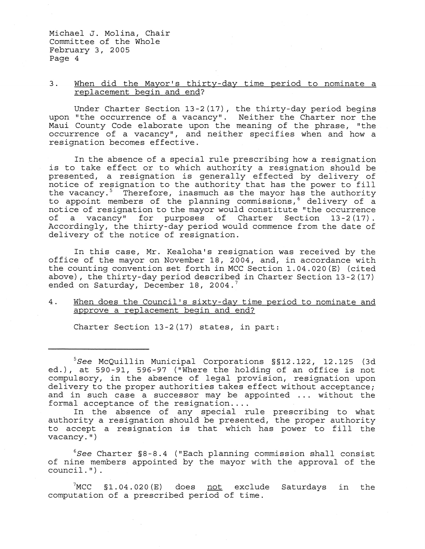# 3. When did the Mayor's thirty-day time period to nominate a replacement begin and end?

Under Charter Section 13-2(17), the thirty-day period begins upon "the occurrence of a vacancy". Neither the Charter nor the Maui County Code elaborate upon the meaning of the phrase, "the occurrence of a vacancy", and neither specifies when and how a resignation becomes effective.

In the absence of a special rule prescribing how a resignation is to take effect or to which authority a resignation should be presented, a resignation is generally effected by delivery of notice of resignation to the authority that has the power to fill the vacancy.<sup>5</sup> Therefore, inasmuch as the mayor has the authority to appoint members of the planning commissions,<sup>6</sup> delivery of a notice of resignation to the mayor would constitute "the occurrence<br>of a vacancy" for purposes of Charter Section 13-2(17). a vacancy" for purposes of Charter Section 13-2(17). Accordingly, the thirty-day period would commence from the date of delivery of the notice of resignation.

In this case, Mr. Kealoha's resignation was received by the office of the mayor on November 18, 2004, and, in accordance with the counting convention set forth in MCC Section  $1.04.020(E)$  (cited above), the thirty-day period described in Charter Section 13-2 (17) ended on Saturday, December 18, 2004.

4. When does the Council's sixty-day time period to nominate and approve a replacement begin and end?

Charter Section 13-2(17) states, in part:

In the absence of any special rule prescribing to what authority a resignation should be presented, the proper authority to accept a resignation is that which has power to fill the  $vacancy.$ ")

*<sup>6</sup> See* Charter §S-S.4 ("Each planning commission shall consist of nine members appointed by the mayor with the approval of the council.") .

 $7$ MCC §1.04.020(E) does <u>not</u> exclude Saturdays in the computation of a prescribed period of time.

*<sup>5</sup>See* McQuillin Municipal Corporations §§12.122, 12.125 (3d ed.), at 590-91, 596-97 ("Where the holding of an office is not compulsory, in the absence of legal provision, resignation upon delivery to the proper authorities takes effect without acceptance; and in such case a successor may be appointed ... without the formal acceptance of the resignation....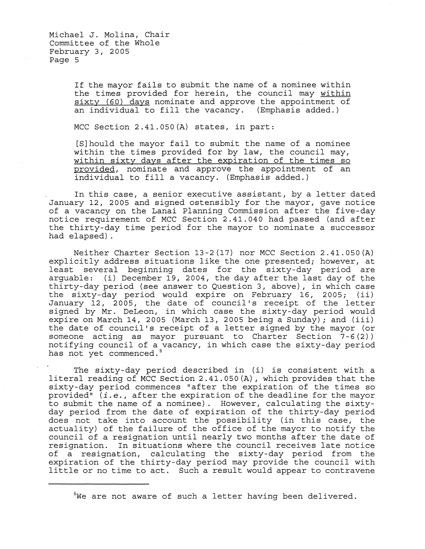> If the mayor fails to submit the name of a nominee within the times provided for herein, the council may within sixty (60) days nominate and approve the appointment of an individual to fill the vacancy. (Emphasis added.)

MCC Section 2.41.050(A) states, in part:

[S]hould the mayor fail to submit the name of a nominee within the times provided for by law, the council may, within sixty days after the expiration of the times so provided, nominate and approve the appointment of an individual to fill a vacancy. (Emphasis added.)

In this case, a senior executive assistant, by a letter dated January 12, 2005 and signed ostensibly for the mayor, gave notice of a vacancy on the Lanai Planning Commission after the five-day notice requirement of MCC Section 2.41.040 had passed (and after the thirty-day time period for the mayor to nominate a successor had elapsed) .

Neither Charter Section 13-2(17) nor MCC Section 2.41.050(A) explicitly address situations like the one presented; however, at least several beginning dates for the sixty-day period are arguable: (i) December 19, 2004, the day after the last day of the thirty-day period (see answer to Question 3, above), in which case the sixty-day period would expire on February 16, 2005; (ii) January 12, 2005, the date of council's receipt of the letter signed by Mr. DeLeon, in which case the sixty-day period would expire on March 14, 2005 (March 13, 2005 being a Sunday); and (iii) the date of council's receipt of a letter signed by the mayor (or someone acting as mayor pursuant to Charter Section 7-6(2)) notifying council of a vacancy, in which case the sixty-day period has not yet commenced.<sup>8</sup>

The sixty-day period described in (i) is consistent with a literal reading of MCC Section 2.41.050 (A), which provides that the sixty-day period commences "after the expiration of the times so provided" (i.e., after the expiration of the deadline for the mayor to submit the name of a nominee). However, calculating the sixtyday period from the date of expiration of the thirty-day period does not take into account the possibility (in this case, the actuality) of the failure of the office of the mayor to notify the council of a resignation until nearly two months after the date of resignation. In situations where the council receives late notice of a resignation, calculating the sixty-day period from the expiration of the thirty-day period may provide the council with little or no time to act. Such a result would appear to contravene

 $8$ We are not aware of such a letter having been delivered.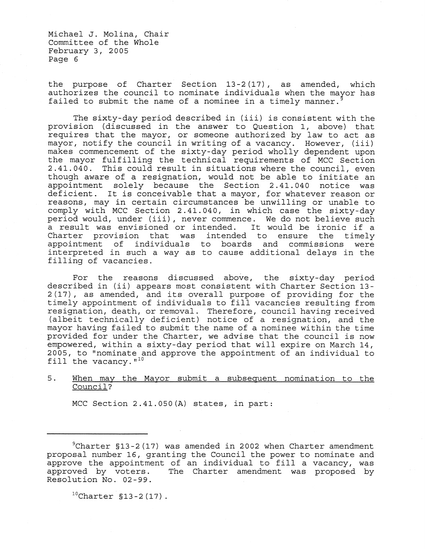the purpose of Charter Section 13-2(17), as amended, which authorizes the council to nominate individuals when the mayor has failed to submit the name of a nominee in a timely manner.

The sixty-day period described in (iii) is consistent with the provision (discussed in the answer to Question I, above) that requires that the mayor, or someone authorized by law to act as a squares that the major, is computed and to all the council in writing of a vacancy. However, (iii) makes commencement of the sixty-day period wholly dependent upon the mayor fulfilling the technical requirements of MCC Section 2.41.040. This could result in situations where the council, even though aware of a resignation, would not be able to initiate an appointment solely because the Section 2.41.040 notice was deficient. It is conceivable that a mayor, for whatever reason or reasons, may in certain circumstances be unwilling or unable to comply with MCC Section 2.41.040, in which case the sixty-day period would, under (iii), never commence. We do not believe such a result was envisioned or intended. It would be ironic if a Charter provision that was intended to ensure the timely appointment of individuals to boards and commissions were interpreted in such a way as to cause additional delays in the filling of vacancies.

For the reasons discussed above, the sixty-day period described in (ii) appears most consistent with Charter Section 13- 2(17), as amended, and its overall purpose of providing for the timely appointment of individuals to fill vacancies resulting from resignation, death, or removal. Therefore, council having received (albeit technically deficient) notice of a resignation, and the mayor having failed to submit the name of a nominee within the time provided for under the Charter, we advise that the council is now empowered, within a sixty-day period that will expire on March 14, 2005, to "nominate and approve the appointment of an individual to fill the vacancy.  $10$ 

5. When may the Mayor submit a subsequent nomination to the Council?

MCC Section 2.41.050(A) states, in part:

 $10$ Charter §13-2(17).

<sup>9</sup>Charter §13-2(17) was amended in 2002 when Charter amendment proposal number 16, granting the Council the power to nominate and approve the appointment of an individual to fill a vacancy, was<br>approved by voters. The Charter amendment was proposed by The Charter amendment was proposed by Resolution No. 02-99.